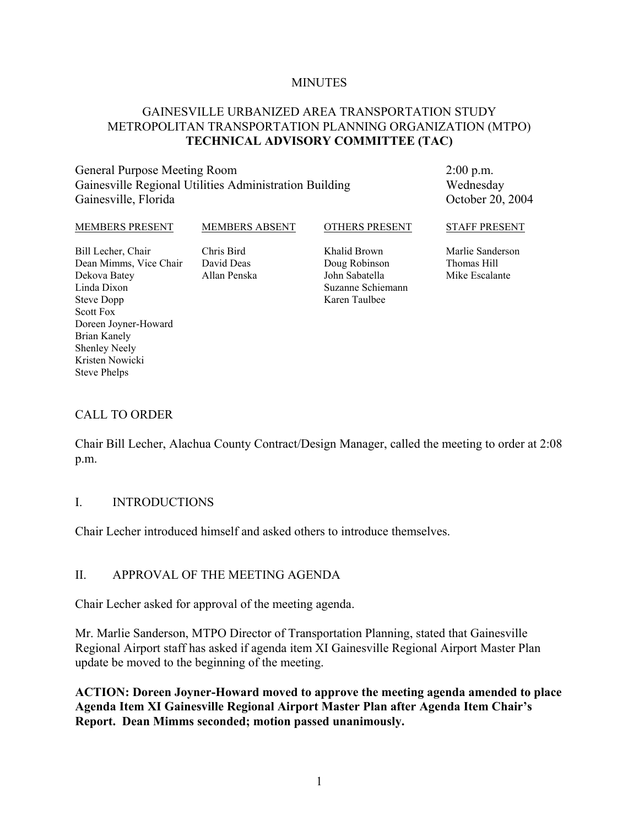#### **MINUTES**

#### GAINESVILLE URBANIZED AREA TRANSPORTATION STUDY METROPOLITAN TRANSPORTATION PLANNING ORGANIZATION (MTPO) **TECHNICAL ADVISORY COMMITTEE (TAC)**

### General Purpose Meeting Room Gainesville Regional Utilities Administration Building Gainesville, Florida

2:00 p.m. Wednesday October 20, 2004

#### MEMBERS PRESENT Bill Lecher, Chair Dean Mimms, Vice Chair Dekova Batey Linda Dixon Steve Dopp Scott Fox Doreen Joyner-Howard MEMBERS ABSENT Chris Bird David Deas Allan Penska OTHERS PRESENT Khalid Brown Doug Robinson John Sabatella Suzanne Schiemann Karen Taulbee STAFF PRESENT Marlie Sanderson Thomas Hill Mike Escalante

#### CALL TO ORDER

Brian Kanely Shenley Neely Kristen Nowicki Steve Phelps

Chair Bill Lecher, Alachua County Contract/Design Manager, called the meeting to order at 2:08 p.m.

#### I. INTRODUCTIONS

Chair Lecher introduced himself and asked others to introduce themselves.

#### II. APPROVAL OF THE MEETING AGENDA

Chair Lecher asked for approval of the meeting agenda.

Mr. Marlie Sanderson, MTPO Director of Transportation Planning, stated that Gainesville Regional Airport staff has asked if agenda item XI Gainesville Regional Airport Master Plan update be moved to the beginning of the meeting.

**ACTION: Doreen Joyner-Howard moved to approve the meeting agenda amended to place Agenda Item XI Gainesville Regional Airport Master Plan after Agenda Item Chair's Report. Dean Mimms seconded; motion passed unanimously.**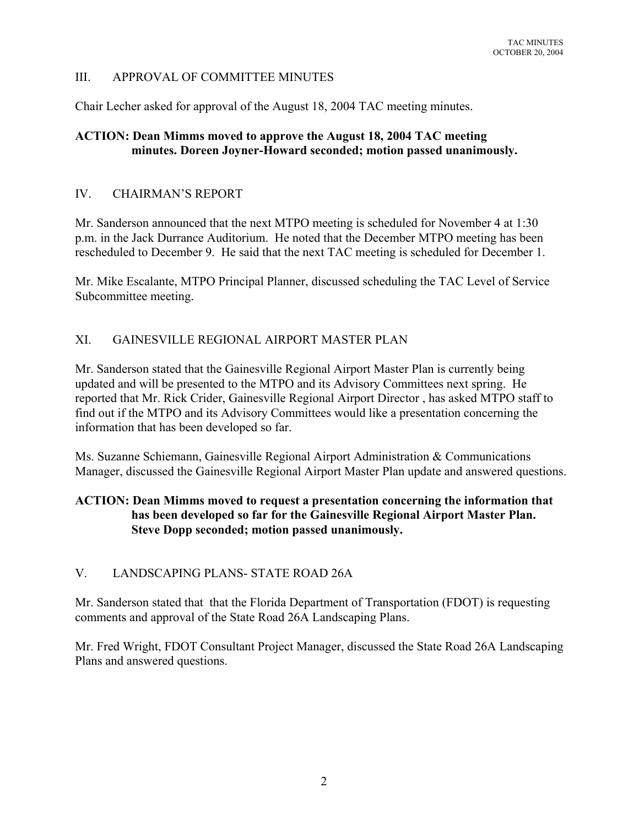# III. APPROVAL OF COMMITTEE MINUTES

Chair Lecher asked for approval of the August 18, 2004 TAC meeting minutes.

## **ACTION: Dean Mimms moved to approve the August 18, 2004 TAC meeting minutes. Doreen Joyner-Howard seconded; motion passed unanimously.**

## IV. CHAIRMAN'S REPORT

Mr. Sanderson announced that the next MTPO meeting is scheduled for November 4 at 1:30 p.m. in the Jack Durrance Auditorium. He noted that the December MTPO meeting has been rescheduled to December 9. He said that the next TAC meeting is scheduled for December 1.

Mr. Mike Escalante, MTPO Principal Planner, discussed scheduling the TAC Level of Service Subcommittee meeting.

# XI. GAINESVILLE REGIONAL AIRPORT MASTER PLAN

Mr. Sanderson stated that the Gainesville Regional Airport Master Plan is currently being updated and will be presented to the MTPO and its Advisory Committees next spring. He reported that Mr. Rick Crider, Gainesville Regional Airport Director , has asked MTPO staff to find out if the MTPO and its Advisory Committees would like a presentation concerning the information that has been developed so far.

Ms. Suzanne Schiemann, Gainesville Regional Airport Administration & Communications Manager, discussed the Gainesville Regional Airport Master Plan update and answered questions.

# **ACTION: Dean Mimms moved to request a presentation concerning the information that has been developed so far for the Gainesville Regional Airport Master Plan. Steve Dopp seconded; motion passed unanimously.**

# V. LANDSCAPING PLANS- STATE ROAD 26A

Mr. Sanderson stated that that the Florida Department of Transportation (FDOT) is requesting comments and approval of the State Road 26A Landscaping Plans.

Mr. Fred Wright, FDOT Consultant Project Manager, discussed the State Road 26A Landscaping Plans and answered questions.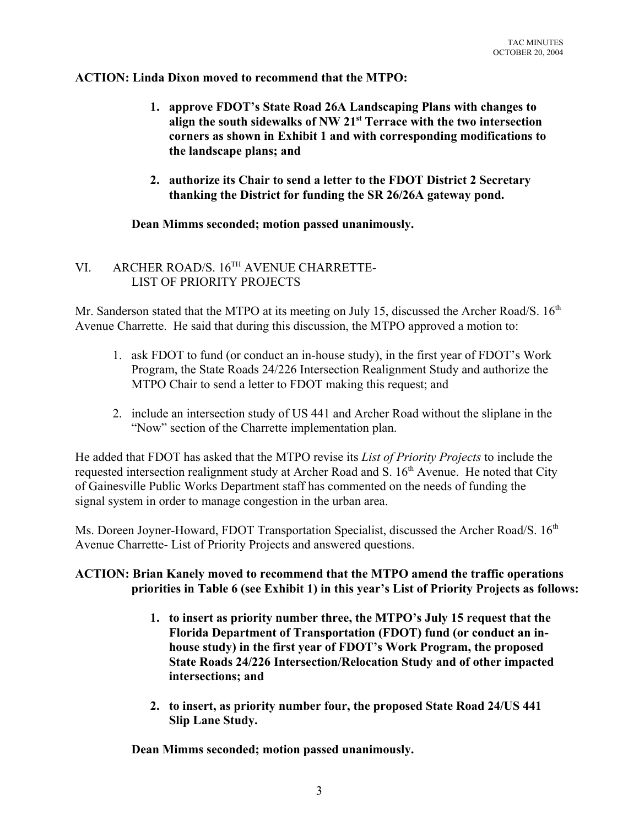#### **ACTION: Linda Dixon moved to recommend that the MTPO:**

- **1. approve FDOT's State Road 26A Landscaping Plans with changes to align the south sidewalks of NW 21st Terrace with the two intersection corners as shown in Exhibit 1 and with corresponding modifications to the landscape plans; and**
- **2. authorize its Chair to send a letter to the FDOT District 2 Secretary thanking the District for funding the SR 26/26A gateway pond.**

#### **Dean Mimms seconded; motion passed unanimously.**

# VI. ARCHER ROAD/S. 16TH AVENUE CHARRETTE-LIST OF PRIORITY PROJECTS

Mr. Sanderson stated that the MTPO at its meeting on July 15, discussed the Archer Road/S. 16<sup>th</sup> Avenue Charrette. He said that during this discussion, the MTPO approved a motion to:

- 1. ask FDOT to fund (or conduct an in-house study), in the first year of FDOT's Work Program, the State Roads 24/226 Intersection Realignment Study and authorize the MTPO Chair to send a letter to FDOT making this request; and
- 2. include an intersection study of US 441 and Archer Road without the sliplane in the "Now" section of the Charrette implementation plan.

He added that FDOT has asked that the MTPO revise its *List of Priority Projects* to include the requested intersection realignment study at Archer Road and S. 16<sup>th</sup> Avenue. He noted that City of Gainesville Public Works Department staff has commented on the needs of funding the signal system in order to manage congestion in the urban area.

Ms. Doreen Joyner-Howard, FDOT Transportation Specialist, discussed the Archer Road/S. 16<sup>th</sup> Avenue Charrette- List of Priority Projects and answered questions.

## **ACTION: Brian Kanely moved to recommend that the MTPO amend the traffic operations priorities in Table 6 (see Exhibit 1) in this year's List of Priority Projects as follows:**

- **1. to insert as priority number three, the MTPO's July 15 request that the Florida Department of Transportation (FDOT) fund (or conduct an inhouse study) in the first year of FDOT's Work Program, the proposed State Roads 24/226 Intersection/Relocation Study and of other impacted intersections; and**
- **2. to insert, as priority number four, the proposed State Road 24/US 441 Slip Lane Study.**

**Dean Mimms seconded; motion passed unanimously.**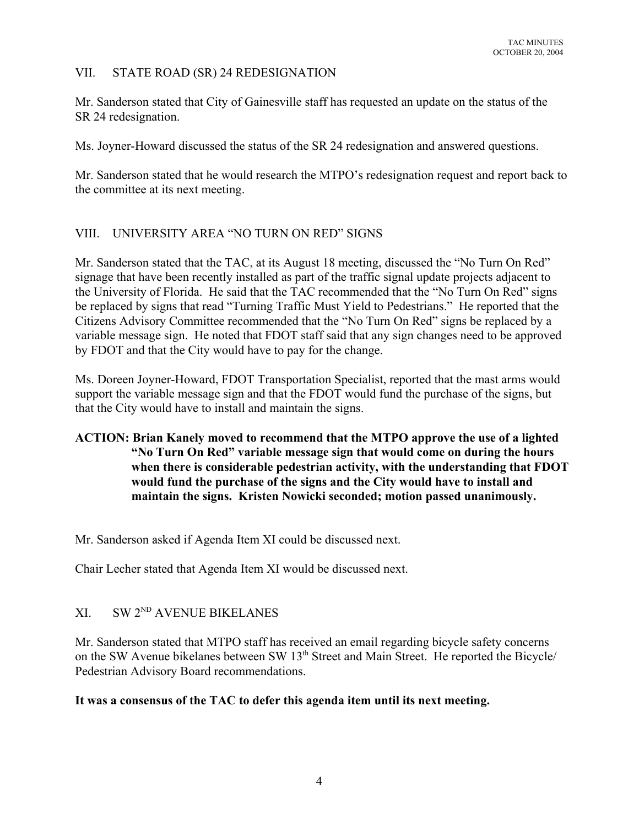### VII. STATE ROAD (SR) 24 REDESIGNATION

Mr. Sanderson stated that City of Gainesville staff has requested an update on the status of the SR 24 redesignation.

Ms. Joyner-Howard discussed the status of the SR 24 redesignation and answered questions.

Mr. Sanderson stated that he would research the MTPO's redesignation request and report back to the committee at its next meeting.

## VIII. UNIVERSITY AREA "NO TURN ON RED" SIGNS

Mr. Sanderson stated that the TAC, at its August 18 meeting, discussed the "No Turn On Red" signage that have been recently installed as part of the traffic signal update projects adjacent to the University of Florida. He said that the TAC recommended that the "No Turn On Red" signs be replaced by signs that read "Turning Traffic Must Yield to Pedestrians." He reported that the Citizens Advisory Committee recommended that the "No Turn On Red" signs be replaced by a variable message sign. He noted that FDOT staff said that any sign changes need to be approved by FDOT and that the City would have to pay for the change.

Ms. Doreen Joyner-Howard, FDOT Transportation Specialist, reported that the mast arms would support the variable message sign and that the FDOT would fund the purchase of the signs, but that the City would have to install and maintain the signs.

# **ACTION: Brian Kanely moved to recommend that the MTPO approve the use of a lighted "No Turn On Red" variable message sign that would come on during the hours when there is considerable pedestrian activity, with the understanding that FDOT would fund the purchase of the signs and the City would have to install and maintain the signs. Kristen Nowicki seconded; motion passed unanimously.**

Mr. Sanderson asked if Agenda Item XI could be discussed next.

Chair Lecher stated that Agenda Item XI would be discussed next.

# XI. SW 2<sup>ND</sup> AVENUE BIKELANES

Mr. Sanderson stated that MTPO staff has received an email regarding bicycle safety concerns on the SW Avenue bikelanes between SW 13<sup>th</sup> Street and Main Street. He reported the Bicycle/ Pedestrian Advisory Board recommendations.

#### **It was a consensus of the TAC to defer this agenda item until its next meeting.**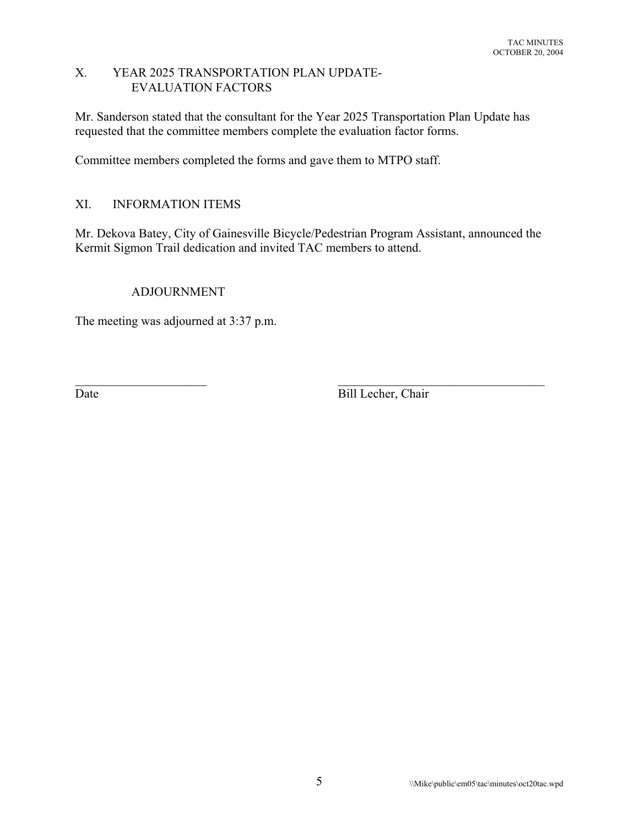#### X. YEAR 2025 TRANSPORTATION PLAN UPDATE-EVALUATION FACTORS

Mr. Sanderson stated that the consultant for the Year 2025 Transportation Plan Update has requested that the committee members complete the evaluation factor forms.

Committee members completed the forms and gave them to MTPO staff.

# XI. INFORMATION ITEMS

Mr. Dekova Batey, City of Gainesville Bicycle/Pedestrian Program Assistant, announced the Kermit Sigmon Trail dedication and invited TAC members to attend.

 $\mathcal{L}_\text{max}$  , and the contribution of the contribution of the contribution of the contribution of the contribution of the contribution of the contribution of the contribution of the contribution of the contribution of t

## ADJOURNMENT

The meeting was adjourned at 3:37 p.m.

Date Bill Lecher, Chair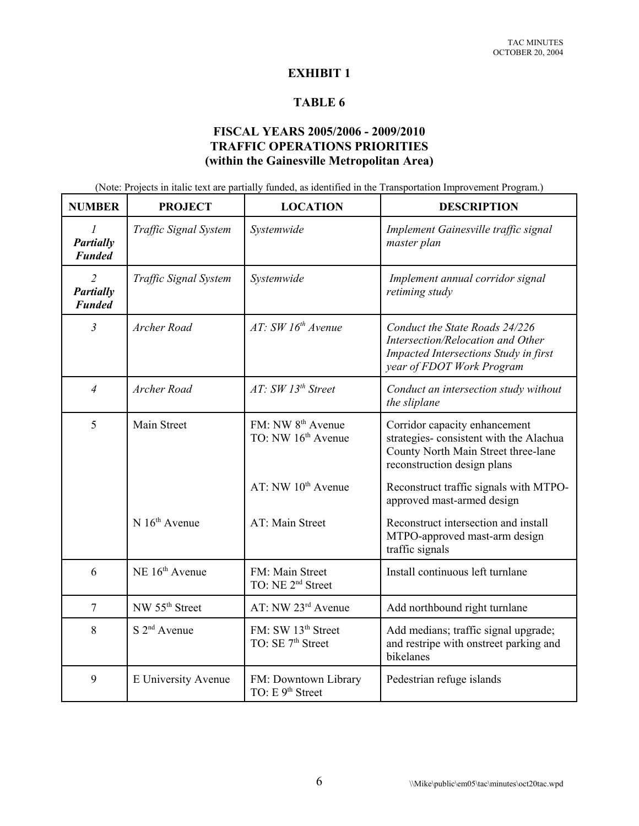#### **EXHIBIT 1**

#### **TABLE 6**

# **FISCAL YEARS 2005/2006 - 2009/2010 TRAFFIC OPERATIONS PRIORITIES (within the Gainesville Metropolitan Area)**

(Note: Projects in italic text are partially funded, as identified in the Transportation Improvement Program.)

| <b>NUMBER</b>                                       | <b>PROJECT</b>             | <b>LOCATION</b>                                                 | <b>DESCRIPTION</b>                                                                                                                               |
|-----------------------------------------------------|----------------------------|-----------------------------------------------------------------|--------------------------------------------------------------------------------------------------------------------------------------------------|
| $\mathcal{I}$<br>Partially<br><b>Funded</b>         | Traffic Signal System      | Systemwide                                                      | Implement Gainesville traffic signal<br>master plan                                                                                              |
| $\overline{2}$<br><b>Partially</b><br><b>Funded</b> | Traffic Signal System      | Systemwide                                                      | Implement annual corridor signal<br>retiming study                                                                                               |
| $\mathfrak{Z}$                                      | Archer Road                | AT: SW 16th Avenue                                              | Conduct the State Roads 24/226<br>Intersection/Relocation and Other<br><b>Impacted Intersections Study in first</b><br>year of FDOT Work Program |
| $\overline{4}$                                      | Archer Road                | AT: SW 13th Street                                              | Conduct an intersection study without<br>the sliplane                                                                                            |
| 5                                                   | Main Street                | FM: NW 8 <sup>th</sup> Avenue<br>TO: NW 16 <sup>th</sup> Avenue | Corridor capacity enhancement<br>strategies-consistent with the Alachua<br>County North Main Street three-lane<br>reconstruction design plans    |
|                                                     |                            | AT: $NW 10th$ Avenue                                            | Reconstruct traffic signals with MTPO-<br>approved mast-armed design                                                                             |
|                                                     | $N 16th$ Avenue            | AT: Main Street                                                 | Reconstruct intersection and install<br>MTPO-approved mast-arm design<br>traffic signals                                                         |
| 6                                                   | NE 16 <sup>th</sup> Avenue | FM: Main Street<br>TO: NE 2 <sup>nd</sup> Street                | Install continuous left turnlane                                                                                                                 |
| $\overline{7}$                                      | NW 55 <sup>th</sup> Street | AT: NW 23rd Avenue                                              | Add northbound right turnlane                                                                                                                    |
| 8                                                   | $S$ $2nd$ Avenue           | FM: SW 13 <sup>th</sup> Street<br>TO: SE 7 <sup>th</sup> Street | Add medians; traffic signal upgrade;<br>and restripe with onstreet parking and<br>bikelanes                                                      |
| 9                                                   | E University Avenue        | FM: Downtown Library<br>TO: E 9 <sup>th</sup> Street            | Pedestrian refuge islands                                                                                                                        |